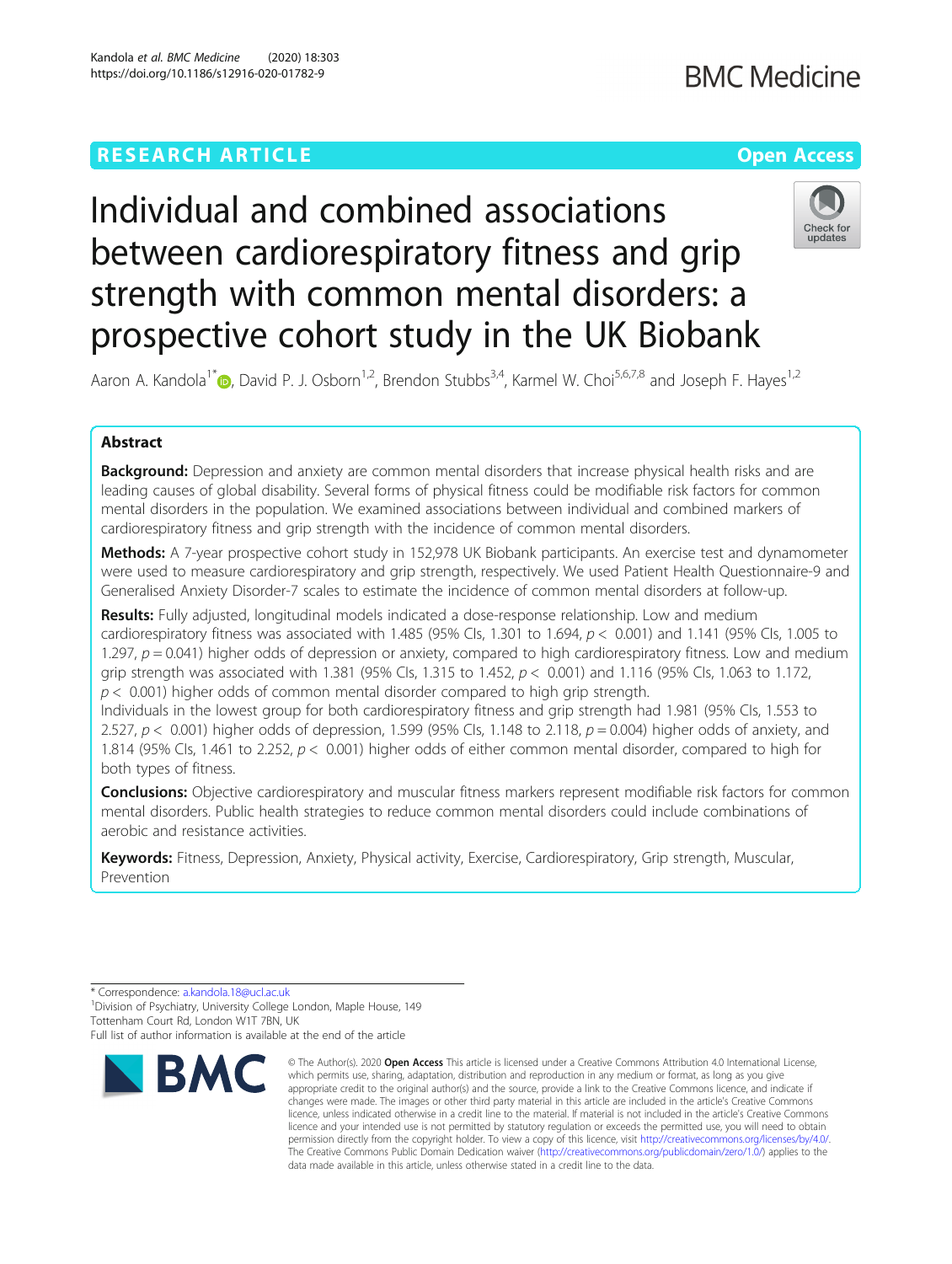### **RESEARCH ARTICLE Example 2014 12:30 The Company of Company Access**

## **BMC Medicine**

# Individual and combined associations between cardiorespiratory fitness and grip strength with common mental disorders: a prospective cohort study in the UK Biobank



Aaron A. Kandola<sup>1\*</sup> <sub>D</sub>[,](http://orcid.org/0000-0002-2334-9235) David P. J. Osborn<sup>1,2</sup>, Brendon Stubbs<sup>3,4</sup>, Karmel W. Choi<sup>5,6,7,8</sup> and Joseph F. Hayes<sup>1,2</sup>

### Abstract

Background: Depression and anxiety are common mental disorders that increase physical health risks and are leading causes of global disability. Several forms of physical fitness could be modifiable risk factors for common mental disorders in the population. We examined associations between individual and combined markers of cardiorespiratory fitness and grip strength with the incidence of common mental disorders.

Methods: A 7-year prospective cohort study in 152,978 UK Biobank participants. An exercise test and dynamometer were used to measure cardiorespiratory and grip strength, respectively. We used Patient Health Questionnaire-9 and Generalised Anxiety Disorder-7 scales to estimate the incidence of common mental disorders at follow-up.

Results: Fully adjusted, longitudinal models indicated a dose-response relationship. Low and medium cardiorespiratory fitness was associated with 1.485 (95% CIs, 1.301 to 1.694,  $p < 0.001$ ) and 1.141 (95% CIs, 1.005 to 1.297,  $p = 0.041$ ) higher odds of depression or anxiety, compared to high cardiorespiratory fitness. Low and medium grip strength was associated with 1.381 (95% CIs, 1.315 to 1.452,  $p < 0.001$ ) and 1.116 (95% CIs, 1.063 to 1.172,  $p < 0.001$ ) higher odds of common mental disorder compared to high grip strength.

Individuals in the lowest group for both cardiorespiratory fitness and grip strength had 1.981 (95% CIs, 1.553 to 2.527,  $p < 0.001$ ) higher odds of depression, 1.599 (95% CIs, 1.148 to 2.118,  $p = 0.004$ ) higher odds of anxiety, and 1.814 (95% CIs, 1.461 to 2.252,  $p < 0.001$ ) higher odds of either common mental disorder, compared to high for both types of fitness.

Conclusions: Objective cardiorespiratory and muscular fitness markers represent modifiable risk factors for common mental disorders. Public health strategies to reduce common mental disorders could include combinations of aerobic and resistance activities.

Keywords: Fitness, Depression, Anxiety, Physical activity, Exercise, Cardiorespiratory, Grip strength, Muscular, Prevention

<sup>1</sup> Division of Psychiatry, University College London, Maple House, 149 Tottenham Court Rd, London W1T 7BN, UK

Full list of author information is available at the end of the article



<sup>©</sup> The Author(s), 2020 **Open Access** This article is licensed under a Creative Commons Attribution 4.0 International License, which permits use, sharing, adaptation, distribution and reproduction in any medium or format, as long as you give appropriate credit to the original author(s) and the source, provide a link to the Creative Commons licence, and indicate if changes were made. The images or other third party material in this article are included in the article's Creative Commons licence, unless indicated otherwise in a credit line to the material. If material is not included in the article's Creative Commons licence and your intended use is not permitted by statutory regulation or exceeds the permitted use, you will need to obtain permission directly from the copyright holder. To view a copy of this licence, visit [http://creativecommons.org/licenses/by/4.0/.](http://creativecommons.org/licenses/by/4.0/) The Creative Commons Public Domain Dedication waiver [\(http://creativecommons.org/publicdomain/zero/1.0/](http://creativecommons.org/publicdomain/zero/1.0/)) applies to the data made available in this article, unless otherwise stated in a credit line to the data.

<sup>\*</sup> Correspondence: [a.kandola.18@ucl.ac.uk](mailto:a.kandola.18@ucl.ac.uk) <sup>1</sup>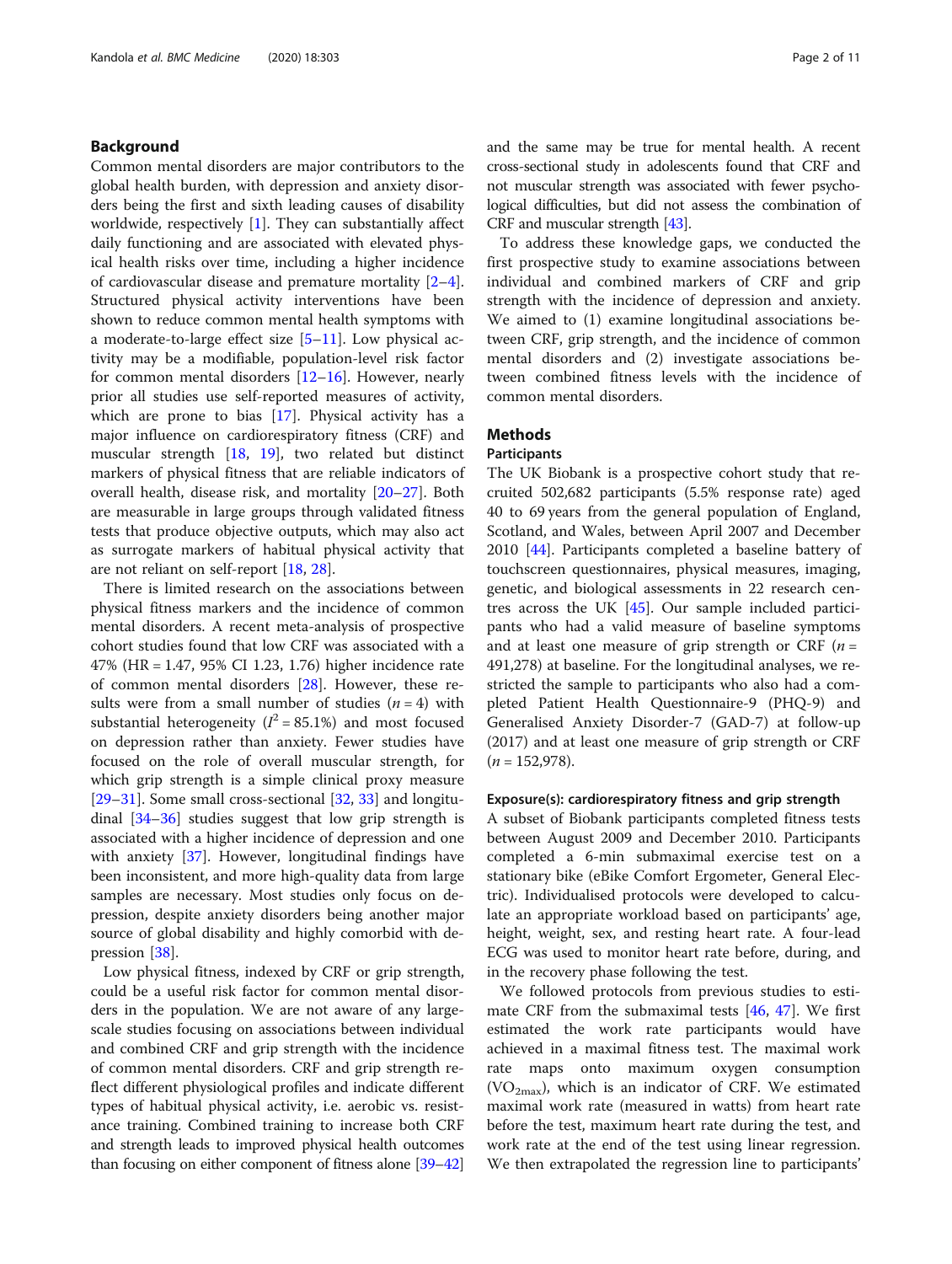#### Background

Common mental disorders are major contributors to the global health burden, with depression and anxiety disorders being the first and sixth leading causes of disability worldwide, respectively [[1\]](#page-8-0). They can substantially affect daily functioning and are associated with elevated physical health risks over time, including a higher incidence of cardiovascular disease and premature mortality [\[2](#page-8-0)–[4](#page-8-0)]. Structured physical activity interventions have been shown to reduce common mental health symptoms with a moderate-to-large effect size  $[5-11]$  $[5-11]$  $[5-11]$  $[5-11]$  $[5-11]$ . Low physical activity may be a modifiable, population-level risk factor for common mental disorders [[12](#page-8-0)–[16](#page-9-0)]. However, nearly prior all studies use self-reported measures of activity, which are prone to bias  $[17]$  $[17]$ . Physical activity has a major influence on cardiorespiratory fitness (CRF) and muscular strength [\[18,](#page-9-0) [19](#page-9-0)], two related but distinct markers of physical fitness that are reliable indicators of overall health, disease risk, and mortality [\[20](#page-9-0)–[27\]](#page-9-0). Both are measurable in large groups through validated fitness tests that produce objective outputs, which may also act as surrogate markers of habitual physical activity that are not reliant on self-report [[18,](#page-9-0) [28\]](#page-9-0).

There is limited research on the associations between physical fitness markers and the incidence of common mental disorders. A recent meta-analysis of prospective cohort studies found that low CRF was associated with a 47% (HR = 1.47, 95% CI 1.23, 1.76) higher incidence rate of common mental disorders [\[28](#page-9-0)]. However, these results were from a small number of studies  $(n = 4)$  with substantial heterogeneity ( $I^2 = 85.1\%$ ) and most focused on depression rather than anxiety. Fewer studies have focused on the role of overall muscular strength, for which grip strength is a simple clinical proxy measure [[29](#page-9-0)–[31](#page-9-0)]. Some small cross-sectional [[32](#page-9-0), [33](#page-9-0)] and longitudinal [[34](#page-9-0)–[36](#page-9-0)] studies suggest that low grip strength is associated with a higher incidence of depression and one with anxiety [[37\]](#page-9-0). However, longitudinal findings have been inconsistent, and more high-quality data from large samples are necessary. Most studies only focus on depression, despite anxiety disorders being another major source of global disability and highly comorbid with depression [[38\]](#page-9-0).

Low physical fitness, indexed by CRF or grip strength, could be a useful risk factor for common mental disorders in the population. We are not aware of any largescale studies focusing on associations between individual and combined CRF and grip strength with the incidence of common mental disorders. CRF and grip strength reflect different physiological profiles and indicate different types of habitual physical activity, i.e. aerobic vs. resistance training. Combined training to increase both CRF and strength leads to improved physical health outcomes than focusing on either component of fitness alone [[39](#page-9-0)–[42](#page-9-0)]

and the same may be true for mental health. A recent cross-sectional study in adolescents found that CRF and not muscular strength was associated with fewer psychological difficulties, but did not assess the combination of CRF and muscular strength [\[43\]](#page-9-0).

To address these knowledge gaps, we conducted the first prospective study to examine associations between individual and combined markers of CRF and grip strength with the incidence of depression and anxiety. We aimed to (1) examine longitudinal associations between CRF, grip strength, and the incidence of common mental disorders and (2) investigate associations between combined fitness levels with the incidence of common mental disorders.

#### **Methods**

#### **Participants**

The UK Biobank is a prospective cohort study that recruited 502,682 participants (5.5% response rate) aged 40 to 69 years from the general population of England, Scotland, and Wales, between April 2007 and December 2010 [\[44\]](#page-9-0). Participants completed a baseline battery of touchscreen questionnaires, physical measures, imaging, genetic, and biological assessments in 22 research centres across the UK [\[45\]](#page-9-0). Our sample included participants who had a valid measure of baseline symptoms and at least one measure of grip strength or CRF  $(n =$ 491,278) at baseline. For the longitudinal analyses, we restricted the sample to participants who also had a completed Patient Health Questionnaire-9 (PHQ-9) and Generalised Anxiety Disorder-7 (GAD-7) at follow-up (2017) and at least one measure of grip strength or CRF  $(n = 152,978)$ .

#### Exposure(s): cardiorespiratory fitness and grip strength

A subset of Biobank participants completed fitness tests between August 2009 and December 2010. Participants completed a 6-min submaximal exercise test on a stationary bike (eBike Comfort Ergometer, General Electric). Individualised protocols were developed to calculate an appropriate workload based on participants' age, height, weight, sex, and resting heart rate. A four-lead ECG was used to monitor heart rate before, during, and in the recovery phase following the test.

We followed protocols from previous studies to estimate CRF from the submaximal tests  $[46, 47]$  $[46, 47]$  $[46, 47]$  $[46, 47]$ . We first estimated the work rate participants would have achieved in a maximal fitness test. The maximal work rate maps onto maximum oxygen consumption (VO<sub>2max</sub>), which is an indicator of CRF. We estimated maximal work rate (measured in watts) from heart rate before the test, maximum heart rate during the test, and work rate at the end of the test using linear regression. We then extrapolated the regression line to participants'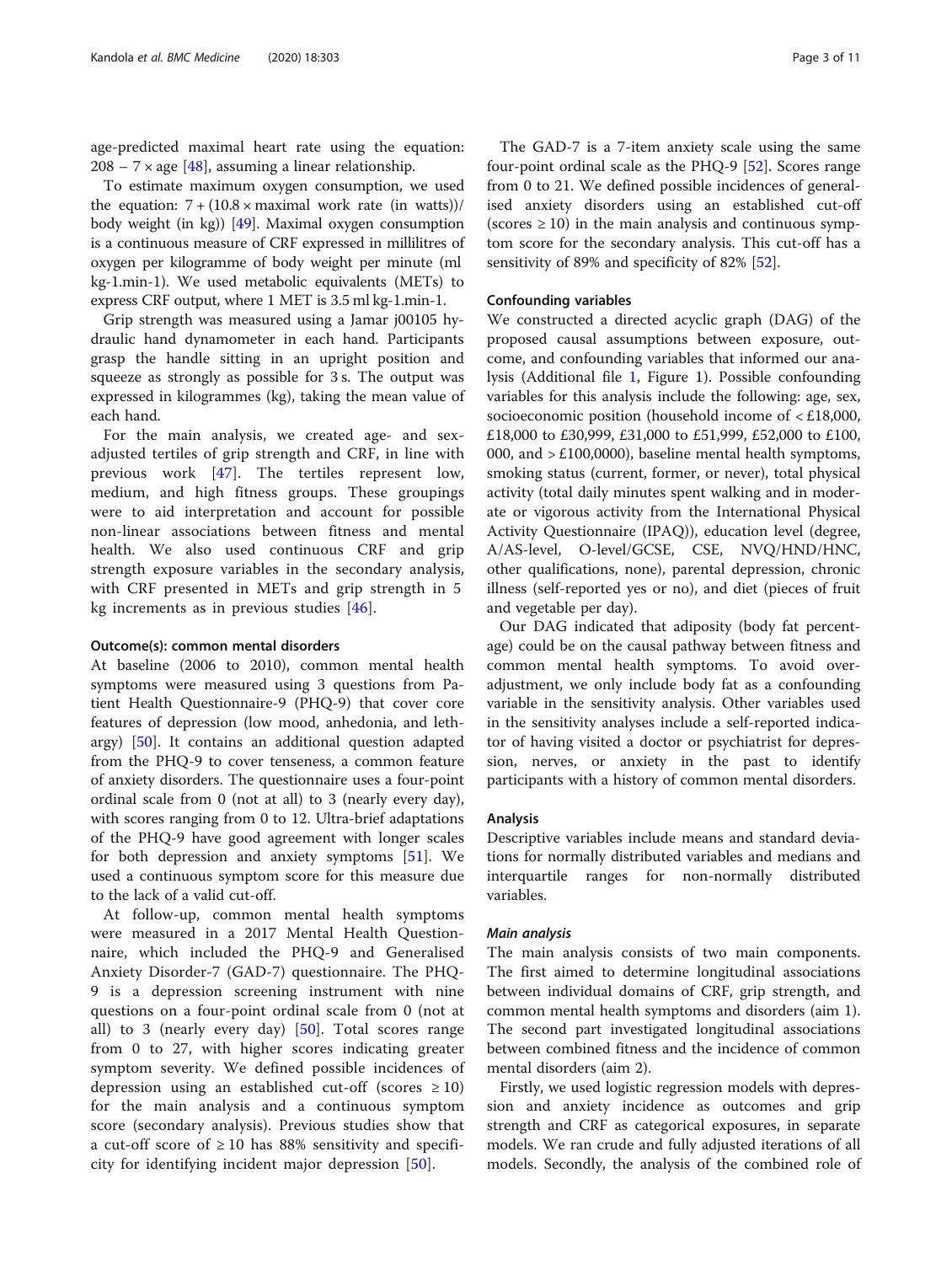age-predicted maximal heart rate using the equation:  $208 - 7 \times$  age [\[48](#page-9-0)], assuming a linear relationship.

To estimate maximum oxygen consumption, we used the equation:  $7 + (10.8 \times \text{maximal work rate (in watts)})/$ body weight (in kg)) [[49](#page-9-0)]. Maximal oxygen consumption is a continuous measure of CRF expressed in millilitres of oxygen per kilogramme of body weight per minute (ml kg-1.min-1). We used metabolic equivalents (METs) to express CRF output, where 1 MET is 3.5 ml kg-1.min-1.

Grip strength was measured using a Jamar j00105 hydraulic hand dynamometer in each hand. Participants grasp the handle sitting in an upright position and squeeze as strongly as possible for 3 s. The output was expressed in kilogrammes (kg), taking the mean value of each hand.

For the main analysis, we created age- and sexadjusted tertiles of grip strength and CRF, in line with previous work [\[47](#page-9-0)]. The tertiles represent low, medium, and high fitness groups. These groupings were to aid interpretation and account for possible non-linear associations between fitness and mental health. We also used continuous CRF and grip strength exposure variables in the secondary analysis, with CRF presented in METs and grip strength in 5 kg increments as in previous studies [\[46](#page-9-0)].

#### Outcome(s): common mental disorders

At baseline (2006 to 2010), common mental health symptoms were measured using 3 questions from Patient Health Questionnaire-9 (PHQ-9) that cover core features of depression (low mood, anhedonia, and lethargy) [\[50](#page-9-0)]. It contains an additional question adapted from the PHQ-9 to cover tenseness, a common feature of anxiety disorders. The questionnaire uses a four-point ordinal scale from 0 (not at all) to 3 (nearly every day), with scores ranging from 0 to 12. Ultra-brief adaptations of the PHQ-9 have good agreement with longer scales for both depression and anxiety symptoms [\[51](#page-9-0)]. We used a continuous symptom score for this measure due to the lack of a valid cut-off.

At follow-up, common mental health symptoms were measured in a 2017 Mental Health Questionnaire, which included the PHQ-9 and Generalised Anxiety Disorder-7 (GAD-7) questionnaire. The PHQ-9 is a depression screening instrument with nine questions on a four-point ordinal scale from 0 (not at all) to 3 (nearly every day) [[50\]](#page-9-0). Total scores range from 0 to 27, with higher scores indicating greater symptom severity. We defined possible incidences of depression using an established cut-off (scores  $\geq 10$ ) for the main analysis and a continuous symptom score (secondary analysis). Previous studies show that a cut-off score of  $\geq 10$  has 88% sensitivity and specificity for identifying incident major depression [[50](#page-9-0)].

The GAD-7 is a 7-item anxiety scale using the same four-point ordinal scale as the PHQ-9 [[52\]](#page-9-0). Scores range from 0 to 21. We defined possible incidences of generalised anxiety disorders using an established cut-off (scores  $\geq 10$ ) in the main analysis and continuous symptom score for the secondary analysis. This cut-off has a sensitivity of 89% and specificity of 82% [\[52](#page-9-0)].

#### Confounding variables

We constructed a directed acyclic graph (DAG) of the proposed causal assumptions between exposure, outcome, and confounding variables that informed our analysis (Additional file [1,](#page-8-0) Figure 1). Possible confounding variables for this analysis include the following: age, sex, socioeconomic position (household income of < £18,000, £18,000 to £30,999, £31,000 to £51,999, £52,000 to £100, 000, and  $> \pounds 100,0000$ , baseline mental health symptoms, smoking status (current, former, or never), total physical activity (total daily minutes spent walking and in moderate or vigorous activity from the International Physical Activity Questionnaire (IPAQ)), education level (degree, A/AS-level, O-level/GCSE, CSE, NVQ/HND/HNC, other qualifications, none), parental depression, chronic illness (self-reported yes or no), and diet (pieces of fruit and vegetable per day).

Our DAG indicated that adiposity (body fat percentage) could be on the causal pathway between fitness and common mental health symptoms. To avoid overadjustment, we only include body fat as a confounding variable in the sensitivity analysis. Other variables used in the sensitivity analyses include a self-reported indicator of having visited a doctor or psychiatrist for depression, nerves, or anxiety in the past to identify participants with a history of common mental disorders.

#### Analysis

Descriptive variables include means and standard deviations for normally distributed variables and medians and interquartile ranges for non-normally distributed variables.

#### Main analysis

The main analysis consists of two main components. The first aimed to determine longitudinal associations between individual domains of CRF, grip strength, and common mental health symptoms and disorders (aim 1). The second part investigated longitudinal associations between combined fitness and the incidence of common mental disorders (aim 2).

Firstly, we used logistic regression models with depression and anxiety incidence as outcomes and grip strength and CRF as categorical exposures, in separate models. We ran crude and fully adjusted iterations of all models. Secondly, the analysis of the combined role of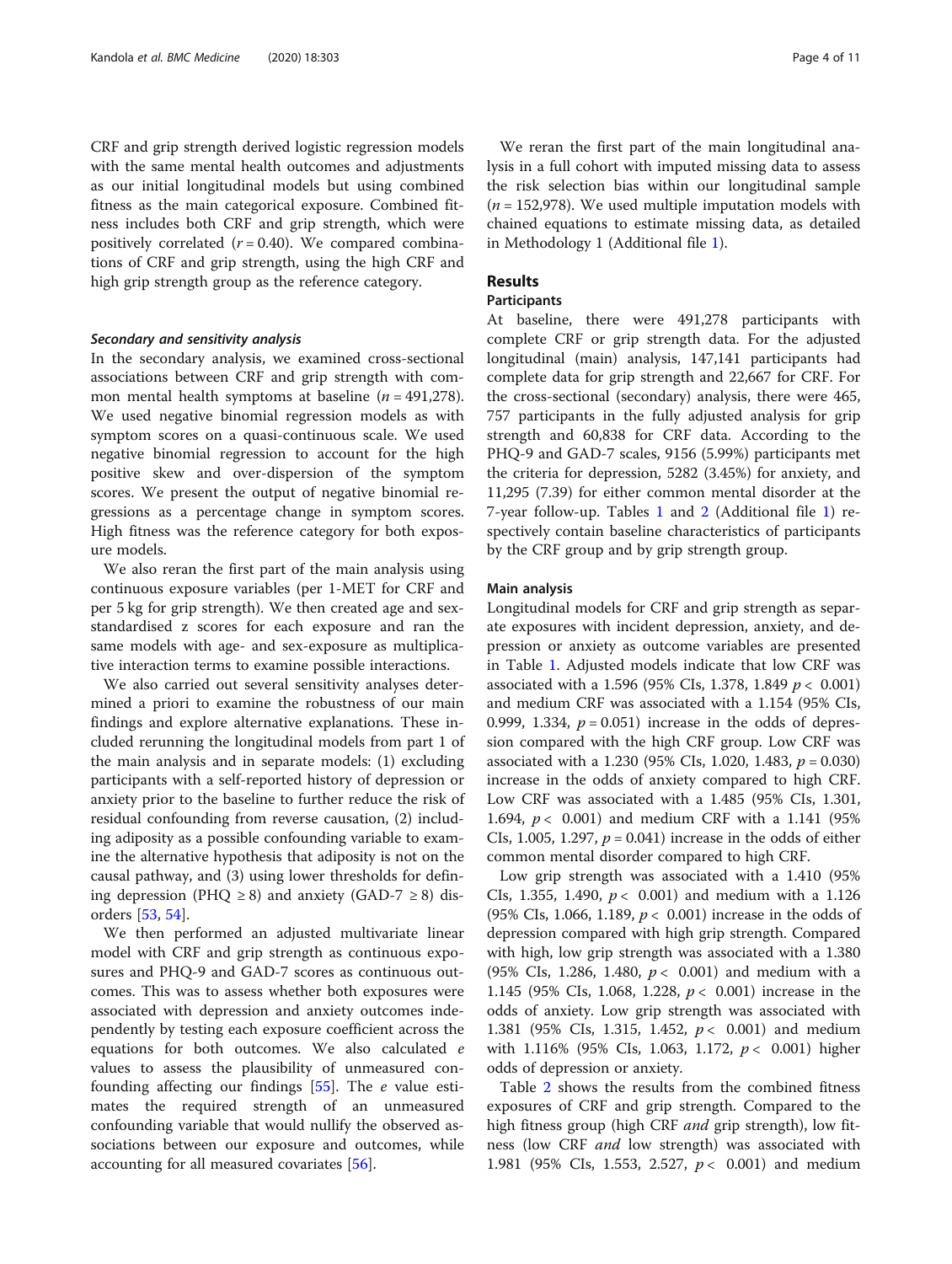CRF and grip strength derived logistic regression models with the same mental health outcomes and adjustments as our initial longitudinal models but using combined fitness as the main categorical exposure. Combined fitness includes both CRF and grip strength, which were positively correlated  $(r = 0.40)$ . We compared combinations of CRF and grip strength, using the high CRF and high grip strength group as the reference category.

#### Secondary and sensitivity analysis

In the secondary analysis, we examined cross-sectional associations between CRF and grip strength with common mental health symptoms at baseline  $(n = 491,278)$ . We used negative binomial regression models as with symptom scores on a quasi-continuous scale. We used negative binomial regression to account for the high positive skew and over-dispersion of the symptom scores. We present the output of negative binomial regressions as a percentage change in symptom scores. High fitness was the reference category for both exposure models.

We also reran the first part of the main analysis using continuous exposure variables (per 1-MET for CRF and per 5 kg for grip strength). We then created age and sexstandardised z scores for each exposure and ran the same models with age- and sex-exposure as multiplicative interaction terms to examine possible interactions.

We also carried out several sensitivity analyses determined a priori to examine the robustness of our main findings and explore alternative explanations. These included rerunning the longitudinal models from part 1 of the main analysis and in separate models: (1) excluding participants with a self-reported history of depression or anxiety prior to the baseline to further reduce the risk of residual confounding from reverse causation, (2) including adiposity as a possible confounding variable to examine the alternative hypothesis that adiposity is not on the causal pathway, and (3) using lower thresholds for defining depression (PHQ  $\geq$  8) and anxiety (GAD-7  $\geq$  8) disorders [[53](#page-9-0), [54](#page-9-0)].

We then performed an adjusted multivariate linear model with CRF and grip strength as continuous exposures and PHQ-9 and GAD-7 scores as continuous outcomes. This was to assess whether both exposures were associated with depression and anxiety outcomes independently by testing each exposure coefficient across the equations for both outcomes. We also calculated e values to assess the plausibility of unmeasured confounding affecting our findings [\[55\]](#page-9-0). The e value estimates the required strength of an unmeasured confounding variable that would nullify the observed associations between our exposure and outcomes, while accounting for all measured covariates [\[56](#page-9-0)].

We reran the first part of the main longitudinal analysis in a full cohort with imputed missing data to assess the risk selection bias within our longitudinal sample  $(n = 152,978)$ . We used multiple imputation models with chained equations to estimate missing data, as detailed in Methodology 1 (Additional file [1](#page-8-0)).

#### Results

#### Participants

At baseline, there were 491,278 participants with complete CRF or grip strength data. For the adjusted longitudinal (main) analysis, 147,141 participants had complete data for grip strength and 22,667 for CRF. For the cross-sectional (secondary) analysis, there were 465, 757 participants in the fully adjusted analysis for grip strength and 60,838 for CRF data. According to the PHQ-9 and GAD-7 scales, 9156 (5.99%) participants met the criteria for depression, 5282 (3.45%) for anxiety, and 11,295 (7.39) for either common mental disorder at the 7-year follow-up. Tables [1](#page-4-0) and [2](#page-5-0) (Additional file [1\)](#page-8-0) respectively contain baseline characteristics of participants by the CRF group and by grip strength group.

#### Main analysis

Longitudinal models for CRF and grip strength as separate exposures with incident depression, anxiety, and depression or anxiety as outcome variables are presented in Table [1](#page-4-0). Adjusted models indicate that low CRF was associated with a 1.596 (95% CIs, 1.378, 1.849  $p < 0.001$ ) and medium CRF was associated with a 1.154 (95% CIs, 0.999, 1.334,  $p = 0.051$ ) increase in the odds of depression compared with the high CRF group. Low CRF was associated with a 1.230 (95% CIs, 1.020, 1.483,  $p = 0.030$ ) increase in the odds of anxiety compared to high CRF. Low CRF was associated with a 1.485 (95% CIs, 1.301, 1.694,  $p < 0.001$ ) and medium CRF with a 1.141 (95% CIs, 1.005, 1.297,  $p = 0.041$ ) increase in the odds of either common mental disorder compared to high CRF.

Low grip strength was associated with a 1.410 (95% CIs, 1.355, 1.490,  $p < 0.001$ ) and medium with a 1.126 (95% CIs, 1.066, 1.189,  $p < 0.001$ ) increase in the odds of depression compared with high grip strength. Compared with high, low grip strength was associated with a 1.380 (95% CIs, 1.286, 1.480,  $p < 0.001$ ) and medium with a 1.145 (95% CIs, 1.068, 1.228, p < 0.001) increase in the odds of anxiety. Low grip strength was associated with 1.381 (95% CIs, 1.315, 1.452,  $p < 0.001$ ) and medium with 1.116% (95% CIs, 1.063, 1.172,  $p < 0.001$ ) higher odds of depression or anxiety.

Table [2](#page-5-0) shows the results from the combined fitness exposures of CRF and grip strength. Compared to the high fitness group (high CRF *and* grip strength), low fitness (low CRF *and* low strength) was associated with 1.981 (95% CIs, 1.553, 2.527,  $p < 0.001$ ) and medium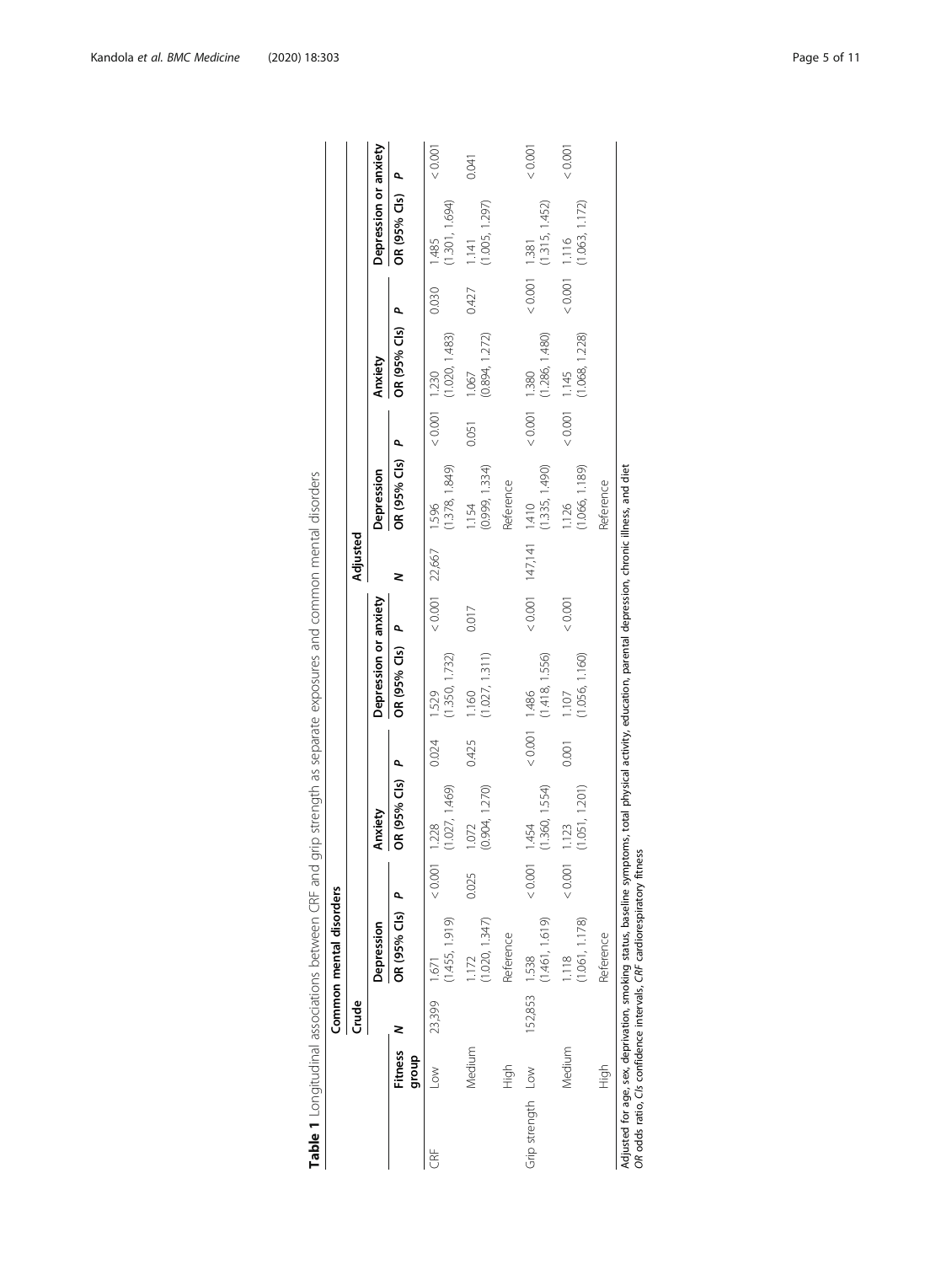<span id="page-4-0"></span>

|                   |                         |               | Common mental disorders                                                |                |                         |               |                                                                                                                                                           |                  |                         |                         |                 |                         |       |                                   |         |
|-------------------|-------------------------|---------------|------------------------------------------------------------------------|----------------|-------------------------|---------------|-----------------------------------------------------------------------------------------------------------------------------------------------------------|------------------|-------------------------|-------------------------|-----------------|-------------------------|-------|-----------------------------------|---------|
|                   |                         | Crude         |                                                                        |                |                         |               |                                                                                                                                                           |                  | Adjusted                |                         |                 |                         |       |                                   |         |
|                   |                         |               | Depression                                                             |                | Anxiety                 |               | Depression or anxiety                                                                                                                                     |                  |                         | Depression              |                 | Anxiety                 |       | Depression or anxiety             |         |
|                   | <b>Fitness</b><br>group | 2             | OR (95% Cls)                                                           | $\overline{a}$ | OR (95% Cls)            | ٩             | OR (95% Cls) P                                                                                                                                            |                  | 2                       | OR (95% Cls) P          |                 | OR (95% Cls) P          |       | OR (95% Cls)                      | م       |
| 的<br>CRF          | $\sim$                  | 23,399        | (1.455, 1.919)<br>- 1671                                               | 0.001          | (1.027, 1.469)<br>1.228 | 0.024         | (1.350, 1.732)<br>1.529                                                                                                                                   | $< 0.001$ 22,667 |                         | (1.378, 1.849)<br>1.596 | $< 0.001$ 1.230 | (1.020, 1.483)          | 0.030 | (1.301, 1.694)<br>1.485           | < 0.001 |
|                   | Medium                  |               | (1.020, 1.347)<br>1.172                                                | 0.025          | (0.904, 1.270)<br>1.072 | 0.425         | (1.027, 1.311)<br>1.160                                                                                                                                   | 0.017            |                         | (0.999, 1.334)<br>1.154 | 0.051           | (0.894, 1.272)<br>1.067 | 0.427 | (1.005, 1.297)<br>1.141           | 0.041   |
|                   | )<br>도구                 |               | Reference                                                              |                |                         |               |                                                                                                                                                           |                  |                         | Reference               |                 |                         |       |                                   |         |
| Grip strength Low |                         | 152,853 1.538 | (1.461, 1.619)                                                         | 0.001          | (1.360, 1.554)<br>1.454 | $0.001$ 1.486 | (1.418, 1.556)                                                                                                                                            |                  | $< 0.001$ 147,141 1.410 | (1.335, 1.490)          | $0.001$ 1.380   | (1.286, 1.480)          |       | (1.315, 1.452)<br>$< 0.001$ 1.381 | 0.001   |
|                   | Medium                  |               | (1.061, 1.178)<br>1.118                                                | 20001          | (1.051, 1.201)<br>1.123 | 0.001         | (1.056, 1.160)<br>1.107                                                                                                                                   | 10000            |                         | (1.066, 1.189)<br>1.126 | $< 0.001$ 1.145 | (1.068, 1.228)          |       | (1.063, 1.172)<br>$0.001$ 1.116   | 10001   |
|                   | fight                   |               | Reference                                                              |                |                         |               |                                                                                                                                                           |                  |                         | Reference               |                 |                         |       |                                   |         |
|                   |                         |               | OR odds ratio, Cls confidence intervals, CRF cardiorespiratory fitness |                |                         |               | Adjusted for age, sex, deprivation, smoking status, baseline symptoms, total physical activity, education, parental depression, chronic illness, and diet |                  |                         |                         |                 |                         |       |                                   |         |

Table 1 Longitudinal associations between CRF and grip strength as separate exposures and common mental disorders Table 1 Longitudinal associations between CRF and grip strength as separate exposures and common mental disorders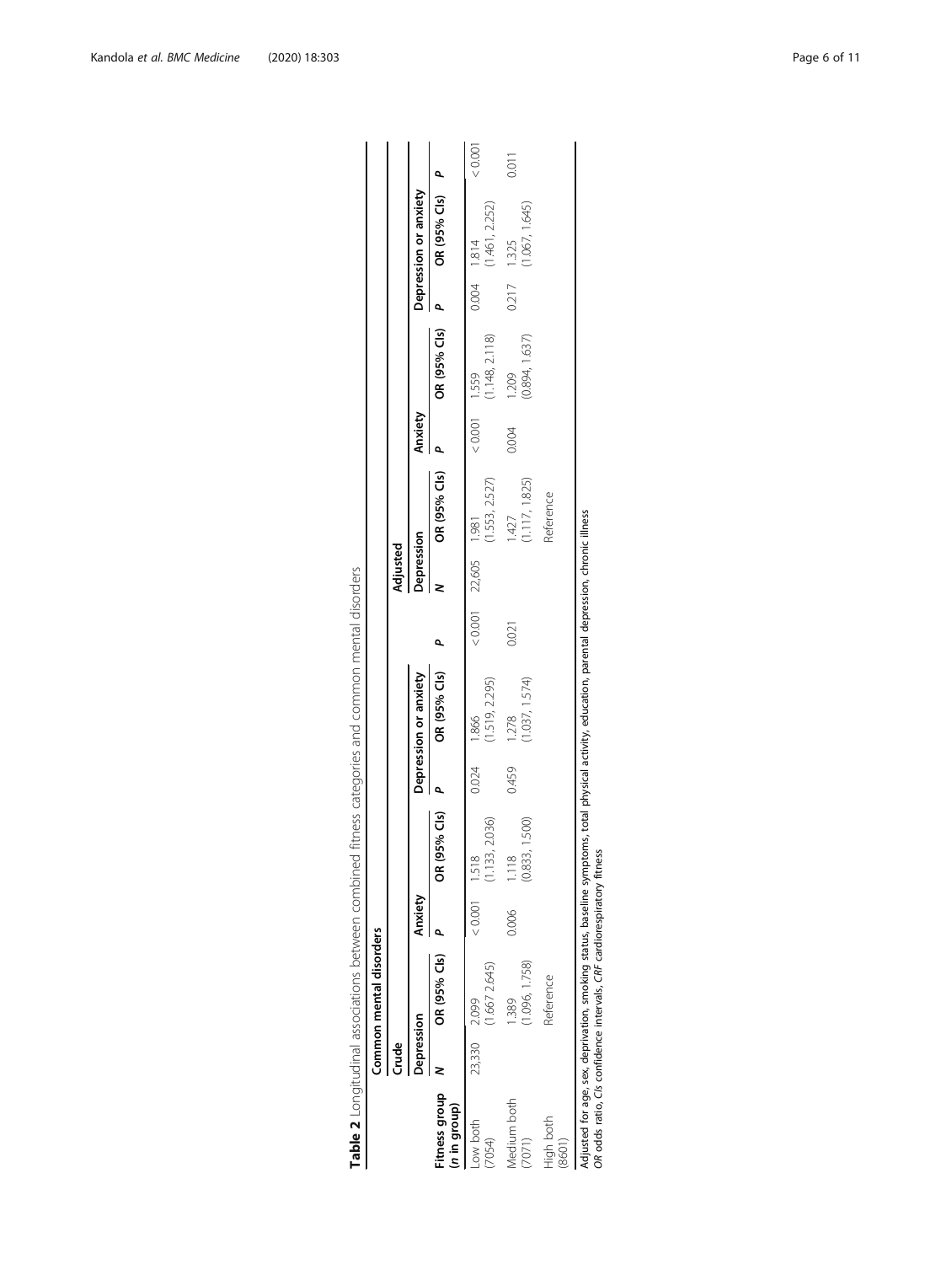<span id="page-5-0"></span>

|                               |              | Common mental disorders |                 |                         |       |                         |       |                        |                         |               |                         |                |                       |       |
|-------------------------------|--------------|-------------------------|-----------------|-------------------------|-------|-------------------------|-------|------------------------|-------------------------|---------------|-------------------------|----------------|-----------------------|-------|
|                               | <b>Crude</b> |                         |                 |                         |       |                         |       | Adjusted               |                         |               |                         |                |                       |       |
|                               | Depression   |                         | Anxiety         |                         |       | Depression or anxiety   |       | Depression             |                         | Anxiety       |                         |                | Depression or anxiety |       |
| Fitness group<br>(n in group) |              | OR (95% Cls)            |                 | OR (95% Cls)            | p.    | OR (95% Cls)            | ۹     |                        | OR (95% Cls)            |               | OR (95% Cls)            | $\overline{a}$ | OR (95% Cls) P        |       |
| Low both<br>(7054)            | 23,330       | 1.667 2.645)<br>2.099   | $< 0.001$ 1.518 | 1.133, 2.036)           | 0.024 | (1.519, 2.295)<br>1.866 |       | $< 0.001$ 22,605 1.981 | (1.553, 2.527)          | $0.001$ 1.559 | (1.148, 2.118)          | $0.004$ 1.814  | (1.461, 2.252)        | 10000 |
| Medium both<br>(7071)         |              | 1.096, 1.758)<br>389    | 0.006           | (0.833, 1.500)<br>1.118 | 0.459 | (1.037, 1.574)<br>1.278 | 0.021 |                        | (1.117, 1.825)<br>1.427 | 0.004         | (0.894, 1.637)<br>1.209 | 0.217          | 1.067, 1.645<br>1.325 | 0.011 |
| High both<br>(8601)           |              | Reference               |                 |                         |       |                         |       |                        | Reference               |               |                         |                |                       |       |

Adjusted for age, sex, deprivation, smoking status, baseline symptoms, total physical activity, education, parental depression, chronic illness<br>OR odds ratio, Cis confidence intervals, CRF cardiorespiratory fitness Adjusted for age, sex, deprivation, smoking status, baseline symptoms, total physical activity, education, parental depression, chronic illness

OR odds ratio, CIs confidence intervals, CRF cardiorespiratory fitness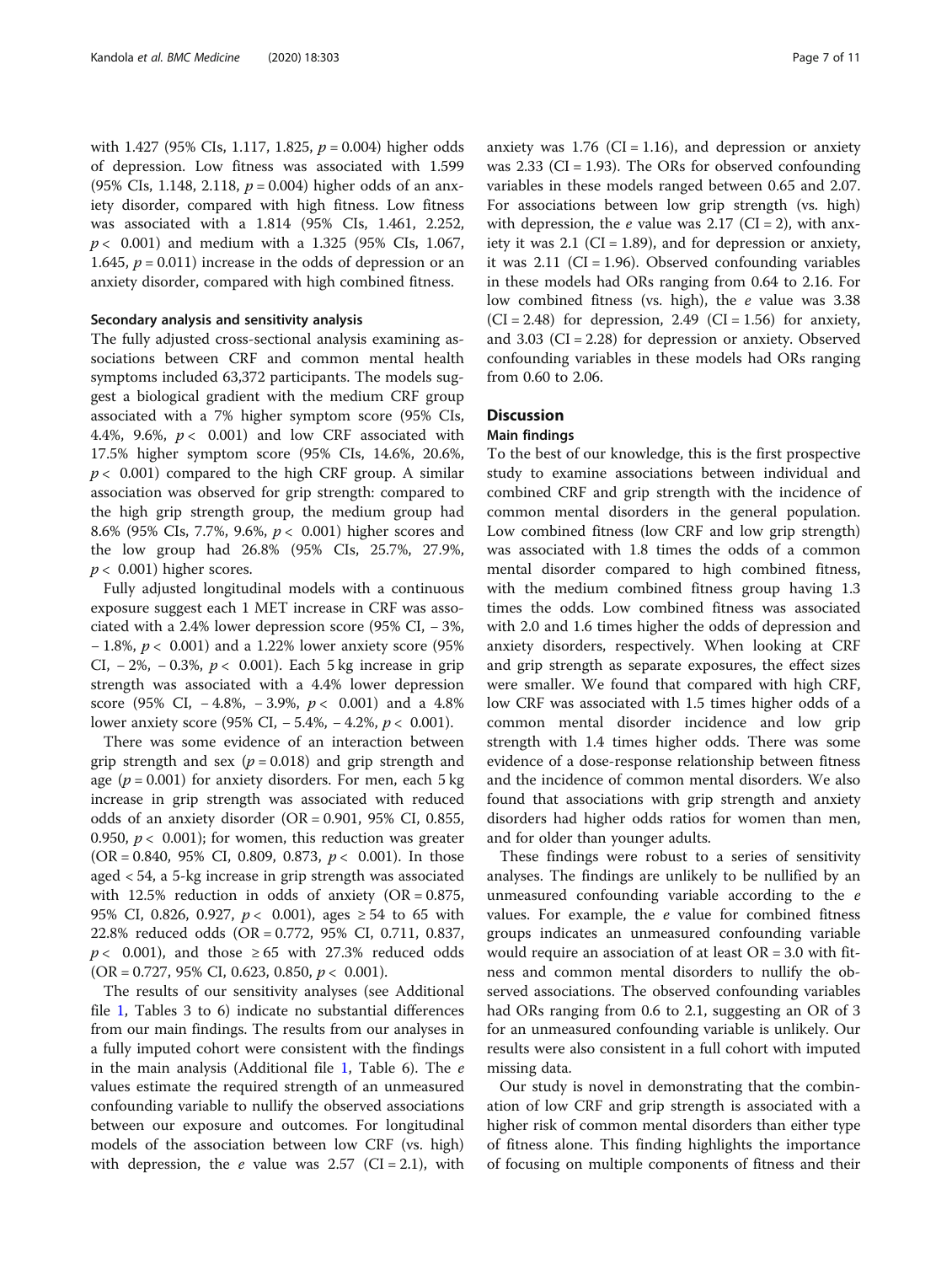with 1.427 (95% CIs, 1.117, 1.825,  $p = 0.004$ ) higher odds of depression. Low fitness was associated with 1.599 (95% CIs, 1.148, 2.118,  $p = 0.004$ ) higher odds of an anxiety disorder, compared with high fitness. Low fitness was associated with a 1.814 (95% CIs, 1.461, 2.252,  $p$  < 0.001) and medium with a 1.325 (95% CIs, 1.067, 1.645,  $p = 0.011$ ) increase in the odds of depression or an anxiety disorder, compared with high combined fitness.

#### Secondary analysis and sensitivity analysis

The fully adjusted cross-sectional analysis examining associations between CRF and common mental health symptoms included 63,372 participants. The models suggest a biological gradient with the medium CRF group associated with a 7% higher symptom score (95% CIs, 4.4%, 9.6%,  $p < 0.001$ ) and low CRF associated with 17.5% higher symptom score (95% CIs, 14.6%, 20.6%,  $p < 0.001$ ) compared to the high CRF group. A similar association was observed for grip strength: compared to the high grip strength group, the medium group had 8.6% (95% CIs, 7.7%, 9.6%, p < 0.001) higher scores and the low group had 26.8% (95% CIs, 25.7%, 27.9%,  $p < 0.001$ ) higher scores.

Fully adjusted longitudinal models with a continuous exposure suggest each 1 MET increase in CRF was associated with a 2.4% lower depression score (95% CI, − 3%, − 1.8%, p < 0.001) and a 1.22% lower anxiety score (95% CI,  $-2\%$ ,  $-0.3\%$ ,  $p < 0.001$ ). Each 5 kg increase in grip strength was associated with a 4.4% lower depression score (95% CI,  $-4.8\%$ ,  $-3.9\%$ ,  $p < 0.001$ ) and a 4.8% lower anxiety score (95% CI, − 5.4%, − 4.2%, p < 0.001).

There was some evidence of an interaction between grip strength and sex ( $p = 0.018$ ) and grip strength and age ( $p = 0.001$ ) for anxiety disorders. For men, each 5 kg increase in grip strength was associated with reduced odds of an anxiety disorder (OR = 0.901, 95% CI, 0.855, 0.950,  $p < 0.001$ ); for women, this reduction was greater (OR = 0.840, 95% CI, 0.809, 0.873,  $p < 0.001$ ). In those aged < 54, a 5-kg increase in grip strength was associated with 12.5% reduction in odds of anxiety  $(OR = 0.875,$ 95% CI, 0.826, 0.927,  $p$  < 0.001), ages ≥ 54 to 65 with 22.8% reduced odds (OR = 0.772, 95% CI, 0.711, 0.837,  $p$  < 0.001), and those ≥ 65 with 27.3% reduced odds  $(OR = 0.727, 95\% \text{ CI}, 0.623, 0.850, p < 0.001).$ 

The results of our sensitivity analyses (see Additional file [1](#page-8-0), Tables 3 to 6) indicate no substantial differences from our main findings. The results from our analyses in a fully imputed cohort were consistent with the findings in the main analysis (Additional file  $1$ , Table 6). The  $e$ values estimate the required strength of an unmeasured confounding variable to nullify the observed associations between our exposure and outcomes. For longitudinal models of the association between low CRF (vs. high) with depression, the *e* value was 2.57 (CI = 2.1), with anxiety was  $1.76$  (CI = 1.16), and depression or anxiety was  $2.33$  (CI = 1.93). The ORs for observed confounding variables in these models ranged between 0.65 and 2.07. For associations between low grip strength (vs. high) with depression, the  $e$  value was 2.17 (CI = 2), with anxiety it was  $2.1$  (CI = 1.89), and for depression or anxiety, it was  $2.11$  (CI = 1.96). Observed confounding variables in these models had ORs ranging from 0.64 to 2.16. For low combined fitness (vs. high), the e value was 3.38  $(CI = 2.48)$  for depression, 2.49  $(CI = 1.56)$  for anxiety, and  $3.03$  (CI = 2.28) for depression or anxiety. Observed confounding variables in these models had ORs ranging from 0.60 to 2.06.

#### **Discussion**

#### Main findings

To the best of our knowledge, this is the first prospective study to examine associations between individual and combined CRF and grip strength with the incidence of common mental disorders in the general population. Low combined fitness (low CRF and low grip strength) was associated with 1.8 times the odds of a common mental disorder compared to high combined fitness, with the medium combined fitness group having 1.3 times the odds. Low combined fitness was associated with 2.0 and 1.6 times higher the odds of depression and anxiety disorders, respectively. When looking at CRF and grip strength as separate exposures, the effect sizes were smaller. We found that compared with high CRF, low CRF was associated with 1.5 times higher odds of a common mental disorder incidence and low grip strength with 1.4 times higher odds. There was some evidence of a dose-response relationship between fitness and the incidence of common mental disorders. We also found that associations with grip strength and anxiety disorders had higher odds ratios for women than men, and for older than younger adults.

These findings were robust to a series of sensitivity analyses. The findings are unlikely to be nullified by an unmeasured confounding variable according to the e values. For example, the e value for combined fitness groups indicates an unmeasured confounding variable would require an association of at least OR = 3.0 with fitness and common mental disorders to nullify the observed associations. The observed confounding variables had ORs ranging from 0.6 to 2.1, suggesting an OR of 3 for an unmeasured confounding variable is unlikely. Our results were also consistent in a full cohort with imputed missing data.

Our study is novel in demonstrating that the combination of low CRF and grip strength is associated with a higher risk of common mental disorders than either type of fitness alone. This finding highlights the importance of focusing on multiple components of fitness and their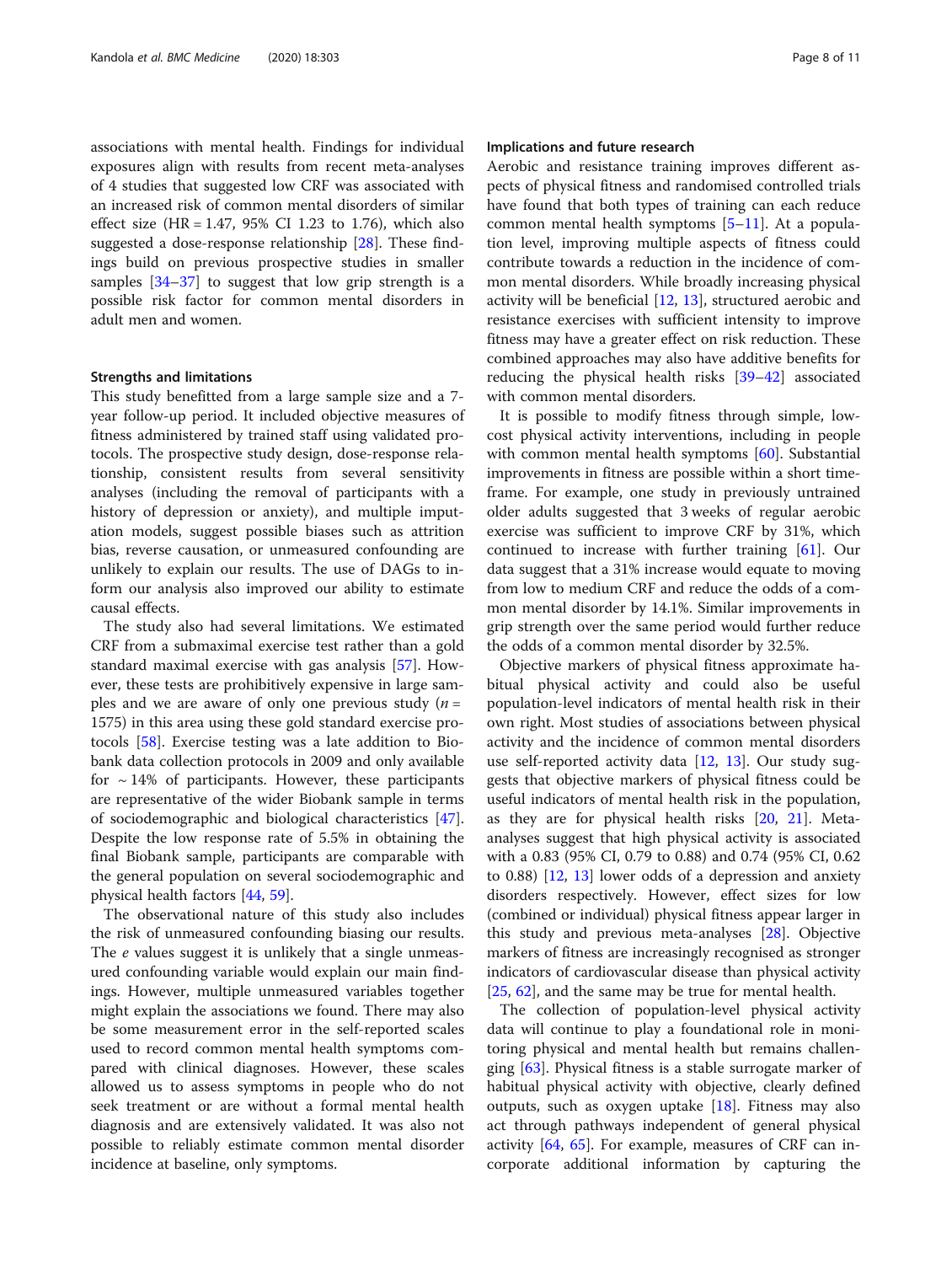associations with mental health. Findings for individual exposures align with results from recent meta-analyses of 4 studies that suggested low CRF was associated with an increased risk of common mental disorders of similar effect size (HR =  $1.47$ , 95% CI 1.23 to 1.76), which also suggested a dose-response relationship [\[28\]](#page-9-0). These findings build on previous prospective studies in smaller samples [[34](#page-9-0)–[37](#page-9-0)] to suggest that low grip strength is a possible risk factor for common mental disorders in adult men and women.

#### Strengths and limitations

This study benefitted from a large sample size and a 7 year follow-up period. It included objective measures of fitness administered by trained staff using validated protocols. The prospective study design, dose-response relationship, consistent results from several sensitivity analyses (including the removal of participants with a history of depression or anxiety), and multiple imputation models, suggest possible biases such as attrition bias, reverse causation, or unmeasured confounding are unlikely to explain our results. The use of DAGs to inform our analysis also improved our ability to estimate causal effects.

The study also had several limitations. We estimated CRF from a submaximal exercise test rather than a gold standard maximal exercise with gas analysis [\[57](#page-9-0)]. However, these tests are prohibitively expensive in large samples and we are aware of only one previous study  $(n =$ 1575) in this area using these gold standard exercise protocols [\[58](#page-9-0)]. Exercise testing was a late addition to Biobank data collection protocols in 2009 and only available for  $\sim$  14% of participants. However, these participants are representative of the wider Biobank sample in terms of sociodemographic and biological characteristics [\[47](#page-9-0)]. Despite the low response rate of 5.5% in obtaining the final Biobank sample, participants are comparable with the general population on several sociodemographic and physical health factors [[44,](#page-9-0) [59\]](#page-10-0).

The observational nature of this study also includes the risk of unmeasured confounding biasing our results. The e values suggest it is unlikely that a single unmeasured confounding variable would explain our main findings. However, multiple unmeasured variables together might explain the associations we found. There may also be some measurement error in the self-reported scales used to record common mental health symptoms compared with clinical diagnoses. However, these scales allowed us to assess symptoms in people who do not seek treatment or are without a formal mental health diagnosis and are extensively validated. It was also not possible to reliably estimate common mental disorder incidence at baseline, only symptoms.

#### Implications and future research

Aerobic and resistance training improves different aspects of physical fitness and randomised controlled trials have found that both types of training can each reduce common mental health symptoms [[5](#page-8-0)–[11\]](#page-8-0). At a population level, improving multiple aspects of fitness could contribute towards a reduction in the incidence of common mental disorders. While broadly increasing physical activity will be beneficial  $[12, 13]$  $[12, 13]$  $[12, 13]$  $[12, 13]$ , structured aerobic and resistance exercises with sufficient intensity to improve fitness may have a greater effect on risk reduction. These combined approaches may also have additive benefits for reducing the physical health risks [[39](#page-9-0)–[42](#page-9-0)] associated with common mental disorders.

It is possible to modify fitness through simple, lowcost physical activity interventions, including in people with common mental health symptoms [\[60\]](#page-10-0). Substantial improvements in fitness are possible within a short timeframe. For example, one study in previously untrained older adults suggested that 3 weeks of regular aerobic exercise was sufficient to improve CRF by 31%, which continued to increase with further training [\[61](#page-10-0)]. Our data suggest that a 31% increase would equate to moving from low to medium CRF and reduce the odds of a common mental disorder by 14.1%. Similar improvements in grip strength over the same period would further reduce the odds of a common mental disorder by 32.5%.

Objective markers of physical fitness approximate habitual physical activity and could also be useful population-level indicators of mental health risk in their own right. Most studies of associations between physical activity and the incidence of common mental disorders use self-reported activity data  $[12, 13]$  $[12, 13]$  $[12, 13]$  $[12, 13]$ . Our study suggests that objective markers of physical fitness could be useful indicators of mental health risk in the population, as they are for physical health risks [\[20,](#page-9-0) [21\]](#page-9-0). Metaanalyses suggest that high physical activity is associated with a 0.83 (95% CI, 0.79 to 0.88) and 0.74 (95% CI, 0.62 to 0.88) [\[12](#page-8-0), [13\]](#page-9-0) lower odds of a depression and anxiety disorders respectively. However, effect sizes for low (combined or individual) physical fitness appear larger in this study and previous meta-analyses [\[28\]](#page-9-0). Objective markers of fitness are increasingly recognised as stronger indicators of cardiovascular disease than physical activity [[25,](#page-9-0) [62\]](#page-10-0), and the same may be true for mental health.

The collection of population-level physical activity data will continue to play a foundational role in monitoring physical and mental health but remains challenging [[63](#page-10-0)]. Physical fitness is a stable surrogate marker of habitual physical activity with objective, clearly defined outputs, such as oxygen uptake  $[18]$ . Fitness may also act through pathways independent of general physical activity [[64,](#page-10-0) [65\]](#page-10-0). For example, measures of CRF can incorporate additional information by capturing the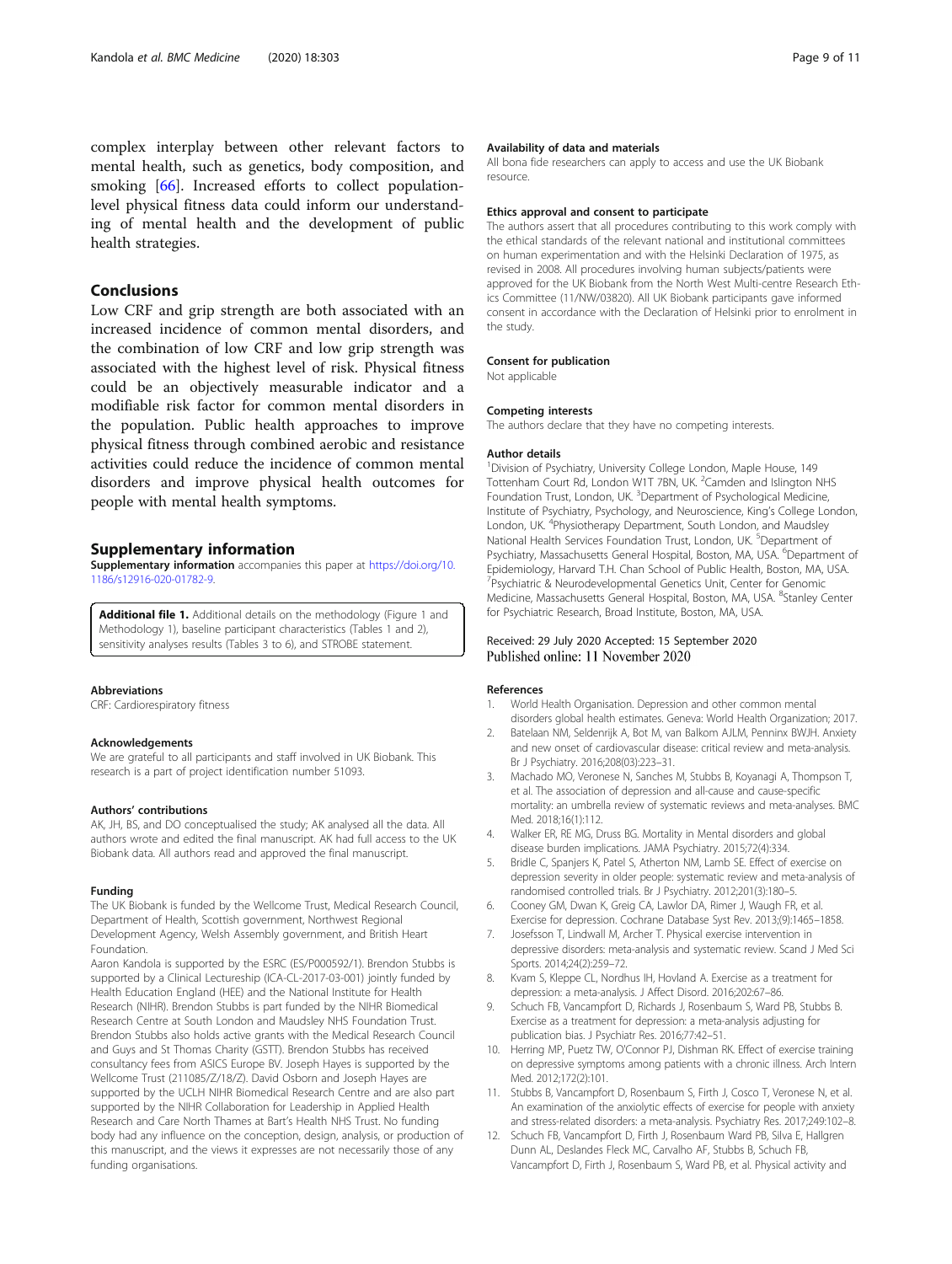<span id="page-8-0"></span>complex interplay between other relevant factors to mental health, such as genetics, body composition, and smoking [\[66\]](#page-10-0). Increased efforts to collect populationlevel physical fitness data could inform our understanding of mental health and the development of public health strategies.

#### Conclusions

Low CRF and grip strength are both associated with an increased incidence of common mental disorders, and the combination of low CRF and low grip strength was associated with the highest level of risk. Physical fitness could be an objectively measurable indicator and a modifiable risk factor for common mental disorders in the population. Public health approaches to improve physical fitness through combined aerobic and resistance activities could reduce the incidence of common mental disorders and improve physical health outcomes for people with mental health symptoms.

#### Supplementary information

Supplementary information accompanies this paper at [https://doi.org/10.](https://doi.org/10.1186/s12916-020-01782-9) [1186/s12916-020-01782-9](https://doi.org/10.1186/s12916-020-01782-9).

Additional file 1. Additional details on the methodology (Figure 1 and Methodology 1), baseline participant characteristics (Tables 1 and 2), sensitivity analyses results (Tables 3 to 6), and STROBE statement.

#### Abbreviations

CRF: Cardiorespiratory fitness

#### Acknowledgements

We are grateful to all participants and staff involved in UK Biobank. This research is a part of project identification number 51093.

#### Authors' contributions

AK, JH, BS, and DO conceptualised the study; AK analysed all the data. All authors wrote and edited the final manuscript. AK had full access to the UK Biobank data. All authors read and approved the final manuscript.

#### Funding

The UK Biobank is funded by the Wellcome Trust, Medical Research Council, Department of Health, Scottish government, Northwest Regional Development Agency, Welsh Assembly government, and British Heart Foundation.

Aaron Kandola is supported by the ESRC (ES/P000592/1). Brendon Stubbs is supported by a Clinical Lectureship (ICA-CL-2017-03-001) jointly funded by Health Education England (HEE) and the National Institute for Health Research (NIHR). Brendon Stubbs is part funded by the NIHR Biomedical Research Centre at South London and Maudsley NHS Foundation Trust. Brendon Stubbs also holds active grants with the Medical Research Council and Guys and St Thomas Charity (GSTT). Brendon Stubbs has received consultancy fees from ASICS Europe BV. Joseph Hayes is supported by the Wellcome Trust (211085/Z/18/Z). David Osborn and Joseph Hayes are supported by the UCLH NIHR Biomedical Research Centre and are also part supported by the NIHR Collaboration for Leadership in Applied Health Research and Care North Thames at Bart's Health NHS Trust. No funding body had any influence on the conception, design, analysis, or production of this manuscript, and the views it expresses are not necessarily those of any funding organisations.

#### Availability of data and materials

All bona fide researchers can apply to access and use the UK Biobank resource.

#### Ethics approval and consent to participate

The authors assert that all procedures contributing to this work comply with the ethical standards of the relevant national and institutional committees on human experimentation and with the Helsinki Declaration of 1975, as revised in 2008. All procedures involving human subjects/patients were approved for the UK Biobank from the North West Multi-centre Research Ethics Committee (11/NW/03820). All UK Biobank participants gave informed consent in accordance with the Declaration of Helsinki prior to enrolment in the study.

#### Consent for publication

Not applicable

#### Competing interests

The authors declare that they have no competing interests.

#### Author details

<sup>1</sup> Division of Psychiatry, University College London, Maple House, 149 Tottenham Court Rd, London W1T 7BN, UK. <sup>2</sup> Camden and Islington NHS Foundation Trust, London, UK.<sup>3</sup> Department of Psychological Medicine, Institute of Psychiatry, Psychology, and Neuroscience, King's College London, London, UK. <sup>4</sup>Physiotherapy Department, South London, and Maudsley National Health Services Foundation Trust, London, UK. <sup>5</sup>Department of Psychiatry, Massachusetts General Hospital, Boston, MA, USA. <sup>6</sup>Department of Epidemiology, Harvard T.H. Chan School of Public Health, Boston, MA, USA. <sup>7</sup>Psychiatric & Neurodevelopmental Genetics Unit, Center for Genomic Medicine, Massachusetts General Hospital, Boston, MA, USA. <sup>8</sup>Stanley Center for Psychiatric Research, Broad Institute, Boston, MA, USA.

#### Received: 29 July 2020 Accepted: 15 September 2020 Published online: 11 November 2020

#### References

- 1. World Health Organisation. Depression and other common mental disorders global health estimates. Geneva: World Health Organization; 2017.
- 2. Batelaan NM, Seldenrijk A, Bot M, van Balkom AJLM, Penninx BWJH. Anxiety and new onset of cardiovascular disease: critical review and meta-analysis. Br J Psychiatry. 2016;208(03):223–31.
- 3. Machado MO, Veronese N, Sanches M, Stubbs B, Koyanagi A, Thompson T, et al. The association of depression and all-cause and cause-specific mortality: an umbrella review of systematic reviews and meta-analyses. BMC Med. 2018;16(1):112.
- 4. Walker ER, RE MG, Druss BG. Mortality in Mental disorders and global disease burden implications. JAMA Psychiatry. 2015;72(4):334.
- 5. Bridle C, Spanjers K, Patel S, Atherton NM, Lamb SE. Effect of exercise on depression severity in older people: systematic review and meta-analysis of randomised controlled trials. Br J Psychiatry. 2012;201(3):180–5.
- 6. Cooney GM, Dwan K, Greig CA, Lawlor DA, Rimer J, Waugh FR, et al. Exercise for depression. Cochrane Database Syst Rev. 2013;(9):1465–1858.
- 7. Josefsson T, Lindwall M, Archer T. Physical exercise intervention in depressive disorders: meta-analysis and systematic review. Scand J Med Sci Sports. 2014;24(2):259–72.
- 8. Kvam S, Kleppe CL, Nordhus IH, Hovland A. Exercise as a treatment for depression: a meta-analysis. J Affect Disord. 2016;202:67–86.
- Schuch FB, Vancampfort D, Richards J, Rosenbaum S, Ward PB, Stubbs B. Exercise as a treatment for depression: a meta-analysis adjusting for publication bias. J Psychiatr Res. 2016;77:42–51.
- 10. Herring MP, Puetz TW, O'Connor PJ, Dishman RK. Effect of exercise training on depressive symptoms among patients with a chronic illness. Arch Intern Med. 2012;172(2):101.
- 11. Stubbs B, Vancampfort D, Rosenbaum S, Firth J, Cosco T, Veronese N, et al. An examination of the anxiolytic effects of exercise for people with anxiety and stress-related disorders: a meta-analysis. Psychiatry Res. 2017;249:102–8.
- 12. Schuch FB, Vancampfort D, Firth J, Rosenbaum Ward PB, Silva E, Hallgren Dunn AL, Deslandes Fleck MC, Carvalho AF, Stubbs B, Schuch FB, Vancampfort D, Firth J, Rosenbaum S, Ward PB, et al. Physical activity and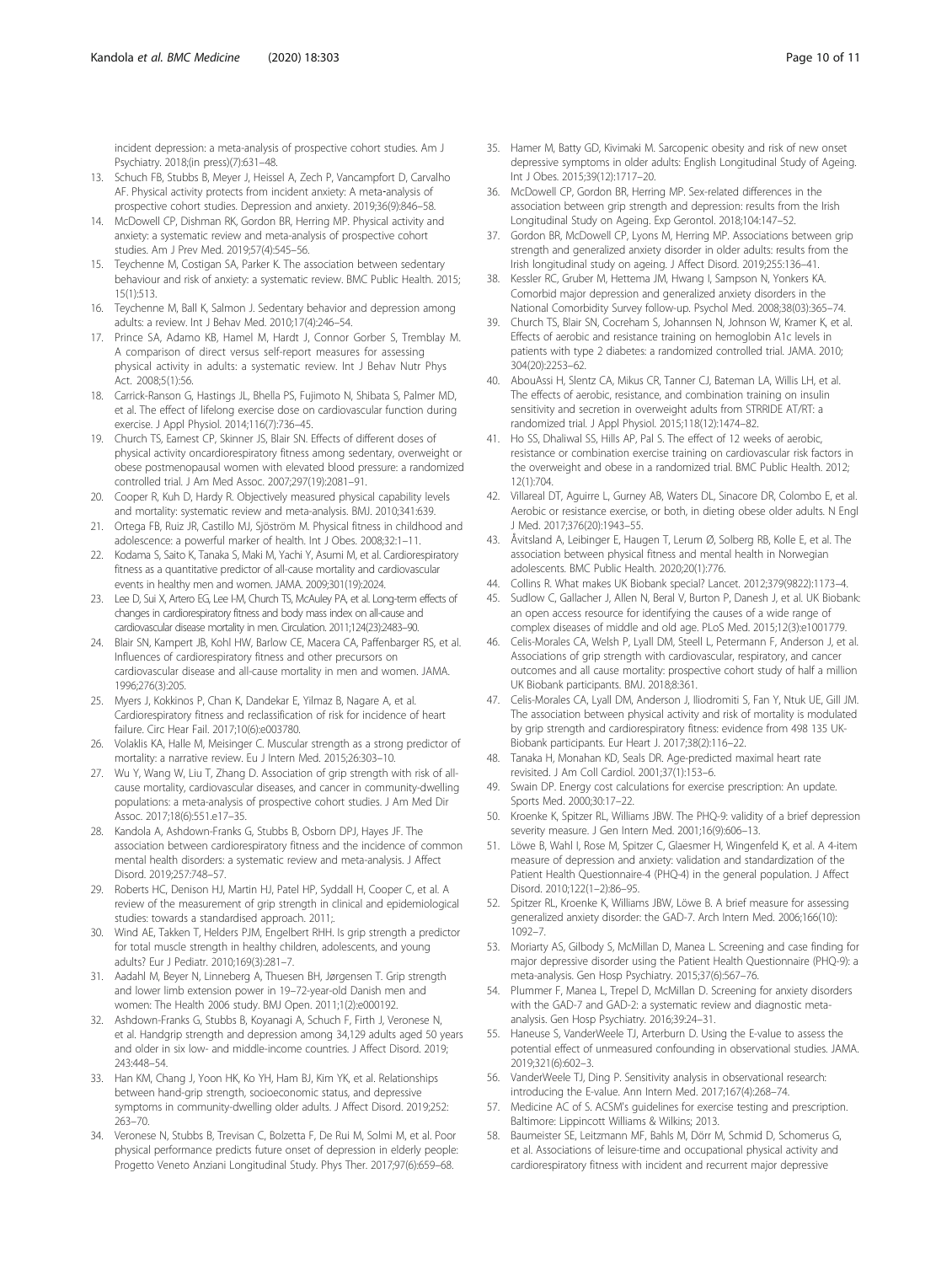<span id="page-9-0"></span>incident depression: a meta-analysis of prospective cohort studies. Am J Psychiatry. 2018;(in press)(7):631–48.

- 13. Schuch FB, Stubbs B, Meyer J, Heissel A, Zech P, Vancampfort D, Carvalho AF. Physical activity protects from incident anxiety: A meta-analysis of prospective cohort studies. Depression and anxiety. 2019;36(9):846–58.
- 14. McDowell CP, Dishman RK, Gordon BR, Herring MP. Physical activity and anxiety: a systematic review and meta-analysis of prospective cohort studies. Am J Prev Med. 2019;57(4):545–56.
- 15. Teychenne M, Costigan SA, Parker K. The association between sedentary behaviour and risk of anxiety: a systematic review. BMC Public Health. 2015; 15(1):513.
- 16. Teychenne M, Ball K, Salmon J. Sedentary behavior and depression among adults: a review. Int J Behav Med. 2010;17(4):246–54.
- 17. Prince SA, Adamo KB, Hamel M, Hardt J, Connor Gorber S, Tremblay M. A comparison of direct versus self-report measures for assessing physical activity in adults: a systematic review. Int J Behav Nutr Phys Act. 2008;5(1):56.
- 18. Carrick-Ranson G, Hastings JL, Bhella PS, Fujimoto N, Shibata S, Palmer MD, et al. The effect of lifelong exercise dose on cardiovascular function during exercise. J Appl Physiol. 2014;116(7):736–45.
- 19. Church TS, Earnest CP, Skinner JS, Blair SN. Effects of different doses of physical activity oncardiorespiratory fitness among sedentary, overweight or obese postmenopausal women with elevated blood pressure: a randomized controlled trial. J Am Med Assoc. 2007;297(19):2081–91.
- 20. Cooper R, Kuh D, Hardy R. Objectively measured physical capability levels and mortality: systematic review and meta-analysis. BMJ. 2010;341:639.
- 21. Ortega FB, Ruiz JR, Castillo MJ, Sjöström M. Physical fitness in childhood and adolescence: a powerful marker of health. Int J Obes. 2008;32:1–11.
- 22. Kodama S, Saito K, Tanaka S, Maki M, Yachi Y, Asumi M, et al. Cardiorespiratory fitness as a quantitative predictor of all-cause mortality and cardiovascular events in healthy men and women. JAMA. 2009;301(19):2024.
- 23. Lee D, Sui X, Artero EG, Lee I-M, Church TS, McAuley PA, et al. Long-term effects of changes in cardiorespiratory fitness and body mass index on all-cause and cardiovascular disease mortality in men. Circulation. 2011;124(23):2483–90.
- 24. Blair SN, Kampert JB, Kohl HW, Barlow CE, Macera CA, Paffenbarger RS, et al. Influences of cardiorespiratory fitness and other precursors on cardiovascular disease and all-cause mortality in men and women. JAMA. 1996;276(3):205.
- 25. Myers J, Kokkinos P, Chan K, Dandekar E, Yilmaz B, Nagare A, et al. Cardiorespiratory fitness and reclassification of risk for incidence of heart failure. Circ Hear Fail. 2017;10(6):e003780.
- 26. Volaklis KA, Halle M, Meisinger C. Muscular strength as a strong predictor of mortality: a narrative review. Eu J Intern Med. 2015;26:303–10.
- 27. Wu Y, Wang W, Liu T, Zhang D. Association of grip strength with risk of allcause mortality, cardiovascular diseases, and cancer in community-dwelling populations: a meta-analysis of prospective cohort studies. J Am Med Dir Assoc. 2017;18(6):551.e17–35.
- 28. Kandola A, Ashdown-Franks G, Stubbs B, Osborn DPJ, Hayes JF. The association between cardiorespiratory fitness and the incidence of common mental health disorders: a systematic review and meta-analysis. J Affect Disord. 2019;257:748–57.
- 29. Roberts HC, Denison HJ, Martin HJ, Patel HP, Syddall H, Cooper C, et al. A review of the measurement of grip strength in clinical and epidemiological studies: towards a standardised approach. 2011;.
- 30. Wind AE, Takken T, Helders PJM, Engelbert RHH. Is grip strength a predictor for total muscle strength in healthy children, adolescents, and young adults? Eur J Pediatr. 2010;169(3):281–7.
- 31. Aadahl M, Beyer N, Linneberg A, Thuesen BH, Jørgensen T. Grip strength and lower limb extension power in 19–72-year-old Danish men and women: The Health 2006 study. BMJ Open. 2011;1(2):e000192.
- 32. Ashdown-Franks G, Stubbs B, Koyanagi A, Schuch F, Firth J, Veronese N, et al. Handgrip strength and depression among 34,129 adults aged 50 years and older in six low- and middle-income countries. J Affect Disord. 2019; 243:448–54.
- 33. Han KM, Chang J, Yoon HK, Ko YH, Ham BJ, Kim YK, et al. Relationships between hand-grip strength, socioeconomic status, and depressive symptoms in community-dwelling older adults. J Affect Disord. 2019;252: 263–70.
- 34. Veronese N, Stubbs B, Trevisan C, Bolzetta F, De Rui M, Solmi M, et al. Poor physical performance predicts future onset of depression in elderly people: Progetto Veneto Anziani Longitudinal Study. Phys Ther. 2017;97(6):659–68.
- 35. Hamer M, Batty GD, Kivimaki M. Sarcopenic obesity and risk of new onset depressive symptoms in older adults: English Longitudinal Study of Ageing. Int J Obes. 2015;39(12):1717–20.
- 36. McDowell CP, Gordon BR, Herring MP. Sex-related differences in the association between grip strength and depression: results from the Irish Longitudinal Study on Ageing. Exp Gerontol. 2018;104:147–52.
- 37. Gordon BR, McDowell CP, Lyons M, Herring MP. Associations between grip strength and generalized anxiety disorder in older adults: results from the Irish longitudinal study on ageing. J Affect Disord. 2019;255:136–41.
- 38. Kessler RC, Gruber M, Hettema JM, Hwang I, Sampson N, Yonkers KA. Comorbid major depression and generalized anxiety disorders in the National Comorbidity Survey follow-up. Psychol Med. 2008;38(03):365–74.
- 39. Church TS, Blair SN, Cocreham S, Johannsen N, Johnson W, Kramer K, et al. Effects of aerobic and resistance training on hemoglobin A1c levels in patients with type 2 diabetes: a randomized controlled trial. JAMA. 2010; 304(20):2253–62.
- 40. AbouAssi H, Slentz CA, Mikus CR, Tanner CJ, Bateman LA, Willis LH, et al. The effects of aerobic, resistance, and combination training on insulin sensitivity and secretion in overweight adults from STRRIDE AT/RT: a randomized trial. J Appl Physiol. 2015;118(12):1474–82.
- 41. Ho SS, Dhaliwal SS, Hills AP, Pal S. The effect of 12 weeks of aerobic, resistance or combination exercise training on cardiovascular risk factors in the overweight and obese in a randomized trial. BMC Public Health. 2012; 12(1):704.
- 42. Villareal DT, Aguirre L, Gurney AB, Waters DL, Sinacore DR, Colombo E, et al. Aerobic or resistance exercise, or both, in dieting obese older adults. N Engl J Med. 2017;376(20):1943–55.
- 43. Åvitsland A, Leibinger E, Haugen T, Lerum Ø, Solberg RB, Kolle E, et al. The association between physical fitness and mental health in Norwegian adolescents. BMC Public Health. 2020;20(1):776.
- 44. Collins R. What makes UK Biobank special? Lancet. 2012;379(9822):1173–4.
- 45. Sudlow C, Gallacher J, Allen N, Beral V, Burton P, Danesh J, et al. UK Biobank: an open access resource for identifying the causes of a wide range of complex diseases of middle and old age. PLoS Med. 2015;12(3):e1001779.
- 46. Celis-Morales CA, Welsh P, Lyall DM, Steell L, Petermann F, Anderson J, et al. Associations of grip strength with cardiovascular, respiratory, and cancer outcomes and all cause mortality: prospective cohort study of half a million UK Biobank participants. BMJ. 2018;8:361.
- 47. Celis-Morales CA, Lyall DM, Anderson J, Iliodromiti S, Fan Y, Ntuk UE, Gill JM. The association between physical activity and risk of mortality is modulated by grip strength and cardiorespiratory fitness: evidence from 498 135 UK-Biobank participants. Eur Heart J. 2017;38(2):116–22.
- 48. Tanaka H, Monahan KD, Seals DR. Age-predicted maximal heart rate revisited. J Am Coll Cardiol. 2001;37(1):153–6.
- 49. Swain DP. Energy cost calculations for exercise prescription: An update. Sports Med. 2000;30:17–22.
- Kroenke K, Spitzer RL, Williams JBW. The PHQ-9: validity of a brief depression severity measure. J Gen Intern Med. 2001;16(9):606–13.
- 51. Löwe B, Wahl I, Rose M, Spitzer C, Glaesmer H, Wingenfeld K, et al. A 4-item measure of depression and anxiety: validation and standardization of the Patient Health Questionnaire-4 (PHQ-4) in the general population. J Affect Disord. 2010;122(1–2):86–95.
- 52. Spitzer RL, Kroenke K, Williams JBW, Löwe B. A brief measure for assessing generalized anxiety disorder: the GAD-7. Arch Intern Med. 2006;166(10): 1092–7.
- 53. Moriarty AS, Gilbody S, McMillan D, Manea L. Screening and case finding for major depressive disorder using the Patient Health Questionnaire (PHQ-9): a meta-analysis. Gen Hosp Psychiatry. 2015;37(6):567–76.
- 54. Plummer F, Manea L, Trepel D, McMillan D. Screening for anxiety disorders with the GAD-7 and GAD-2: a systematic review and diagnostic metaanalysis. Gen Hosp Psychiatry. 2016;39:24–31.
- 55. Haneuse S, VanderWeele TJ, Arterburn D. Using the E-value to assess the potential effect of unmeasured confounding in observational studies. JAMA. 2019;321(6):602–3.
- 56. VanderWeele TJ, Ding P. Sensitivity analysis in observational research: introducing the E-value. Ann Intern Med. 2017;167(4):268–74.
- 57. Medicine AC of S. ACSM's guidelines for exercise testing and prescription. Baltimore: Lippincott Williams & Wilkins; 2013.
- 58. Baumeister SE, Leitzmann MF, Bahls M, Dörr M, Schmid D, Schomerus G, et al. Associations of leisure-time and occupational physical activity and cardiorespiratory fitness with incident and recurrent major depressive